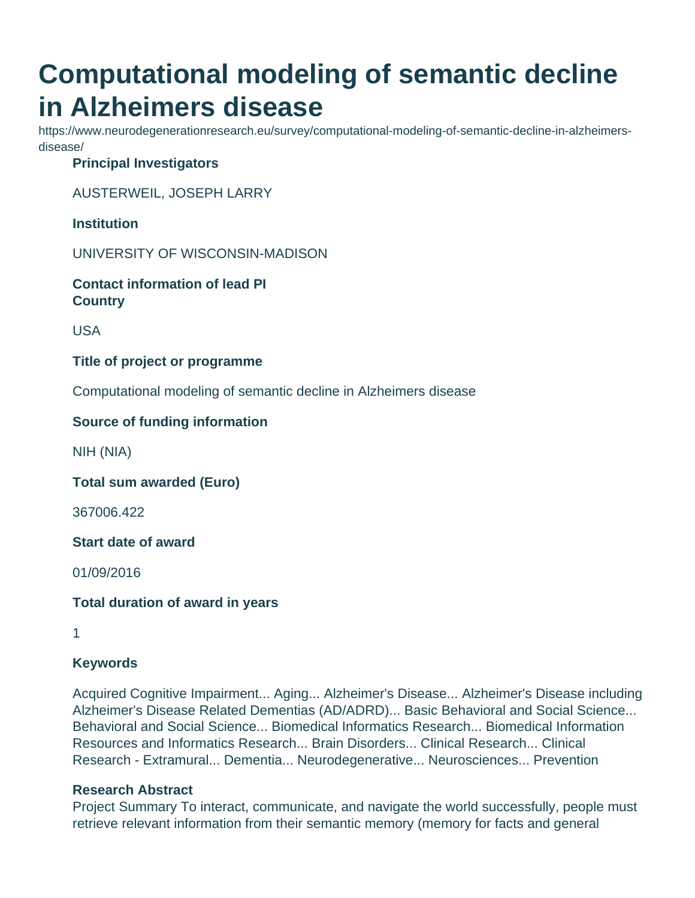# **Computational modeling of semantic decline in Alzheimers disease**

https://www.neurodegenerationresearch.eu/survey/computational-modeling-of-semantic-decline-in-alzheimersdisease/

## **Principal Investigators**

AUSTERWEIL, JOSEPH LARRY

**Institution**

UNIVERSITY OF WISCONSIN-MADISON

**Contact information of lead PI Country**

USA

### **Title of project or programme**

Computational modeling of semantic decline in Alzheimers disease

### **Source of funding information**

NIH (NIA)

**Total sum awarded (Euro)**

367006.422

**Start date of award**

01/09/2016

**Total duration of award in years**

1

### **Keywords**

Acquired Cognitive Impairment... Aging... Alzheimer's Disease... Alzheimer's Disease including Alzheimer's Disease Related Dementias (AD/ADRD)... Basic Behavioral and Social Science... Behavioral and Social Science... Biomedical Informatics Research... Biomedical Information Resources and Informatics Research... Brain Disorders... Clinical Research... Clinical Research - Extramural... Dementia... Neurodegenerative... Neurosciences... Prevention

### **Research Abstract**

Project Summary To interact, communicate, and navigate the world successfully, people must retrieve relevant information from their semantic memory (memory for facts and general